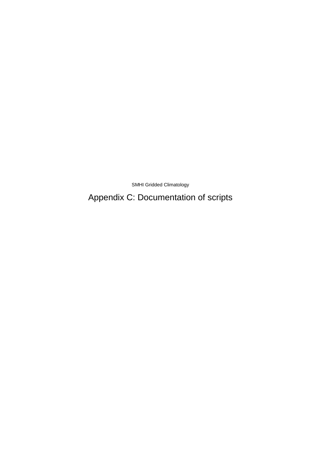SMHI Gridded Climatology

Appendix C: Documentation of scripts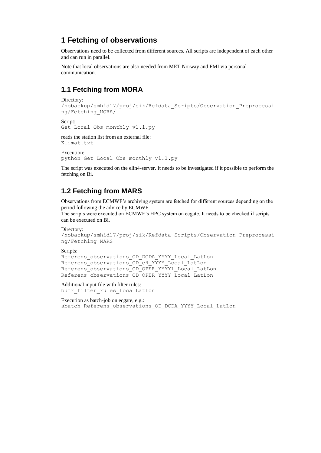# **1 Fetching of observations**

Observations need to be collected from different sources. All scripts are independent of each other and can run in parallel.

Note that local observations are also needed from MET Norway and FMI via personal communication.

# **1.1 Fetching from MORA**

```
Directory:
```

```
/nobackup/smhid17/proj/sik/Refdata_Scripts/Observation_Preprocessi
ng/Fetching_MORA/
```
Script:

```
Get Local Obs monthly v1.1.py
```
reads the station list from an external file: Klimat.txt

Execution: python Get\_Local\_Obs\_monthly\_v1.1.py

The script was executed on the elin4-server. It needs to be investigated if it possible to perform the fetching on Bi.

# **1.2 Fetching from MARS**

Observations from ECMWF's archiving system are fetched for different sources depending on the period following the advice by ECMWF.

The scripts were executed on ECMWF's HPC system on ecgate. It needs to be checked if scripts can be executed on Bi.

#### Directory:

```
/nobackup/smhid17/proj/sik/Refdata_Scripts/Observation_Preprocessi
ng/Fetching_MARS
```
#### Scripts:

```
Referens observations OD DCDA YYYY Local LatLon
Referens observations OD e4 YYYY Local LatLon
Referens_observations_OD_OPER_YYYY1_Local_LatLon
Referens_observations_OD_OPER_YYYY_Local_LatLon
```
Additional input file with filter rules: bufr filter rules LocalLatLon

Execution as batch-job on ecgate, e.g.: sbatch Referens observations OD DCDA YYYY Local LatLon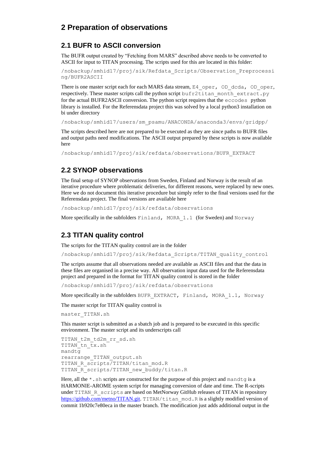# **2 Preparation of observations**

#### **2.1 BUFR to ASCII conversion**

The BUFR output created by "Fetching from MARS" described above needs to be converted to ASCII for input to TITAN processing. The scripts used for this are located in this folder:

/nobackup/smhid17/proj/sik/Refdata\_Scripts/Observation\_Preprocessi ng/BUFR2ASCII

There is one master script each for each MARS data stream, E4\_oper, OD\_dcda, OD\_oper, respectively. These master scripts call the python script bufr2titan month extract.py for the actual BUFR2ASCII conversion. The python script requires that the eccodes python library is installed. For the Referensdata project this was solved by a local python3 installation on bi under directory

/nobackup/smhid17/users/sm\_psamu/ANACONDA/anaconda3/envs/gridpp/

The scripts described here are not prepared to be executed as they are since paths to BUFR files and output paths need modifications. The ASCII output prepared by these scripts is now available here

/nobackup/smhid17/proj/sik/refdata/observations/BUFR\_EXTRACT

## **2.2 SYNOP observations**

The final setup of SYNOP observations from Sweden, Finland and Norway is the result of an iterative procedure where problematic deliveries, for different reasons, were replaced by new ones. Here we do not document this iterative procedure but simply refer to the final versions used for the Referensdata project. The final versions are available here

/nobackup/smhid17/proj/sik/refdata/observations

More specifically in the subfolders Finland, MORA 1.1 (for Sweden) and Norway

### **2.3 TITAN quality control**

The scripts for the TITAN quality control are in the folder

/nobackup/smhid17/proj/sik/Refdata\_Scripts/TITAN\_quality\_control

The scripts assume that all observations needed are available as ASCII files and that the data in these files are organised in a precise way. All observation input data used for the Referensdata project and prepared in the format for TITAN quality control is stored in the folder

/nobackup/smhid17/proj/sik/refdata/observations

More specifically in the subfolders BUFR\_EXTRACT, Finland, MORA\_1.1, Norway

The master script for TITAN quality control is

master\_TITAN.sh

This master script is submitted as a sbatch job and is prepared to be executed in this specific environment. The master script and its underscripts call

```
TITAN_t2m_td2m_rr_sd.sh
TITAN_tn_tx.sh
mandtg
rearrange_TITAN_output.sh
TITAN R scripts/TITAN/titan mod.R
TITAN_R_scripts/TITAN_new_buddy/titan.R
```
Here, all the  $*$ . sh scripts are constructed for the purpose of this project and mandtg is a HARMONIE-AROME system script for managing conversion of date and time. The R-scripts under TITAN R scripts are based on MetNorway GitHub releases of TITAN in repository [https://github.com/metno/TITAN.git.](https://github.com/metno/TITAN.git) TITAN/titan\_mod.R is a slightly modified version of commit 1b920c7e80eca in the master branch. The modification just adds additional output in the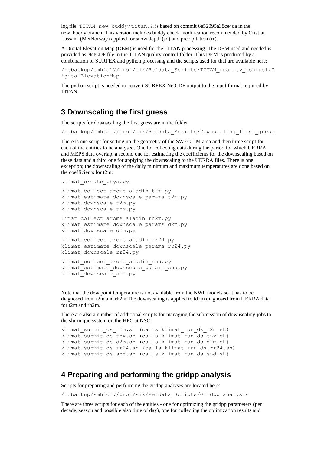log file. TITAN\_new\_buddy/titan.R is based on commit 6e52095a38ce4da in the new\_buddy branch. This version includes buddy check modification recommended by Cristian Lussana (MetNorway) applied for snow depth (sd) and precipitation (rr).

A Digital Elevation Map (DEM) is used for the TITAN processing. The DEM used and needed is provided as NetCDF file in the TITAN quality control folder. This DEM is produced by a combination of SURFEX and python processing and the scripts used for that are available here:

/nobackup/smhid17/proj/sik/Refdata\_Scripts/TITAN\_quality\_control/D igitalElevationMap

The python script is needed to convert SURFEX NetCDF output to the input format required by TITAN.

### **3 Downscaling the first guess**

The scripts for downscaling the first guess are in the folder

/nobackup/smhid17/proj/sik/Refdata\_Scripts/Downscaling\_first\_guess

There is one script for setting up the geometry of the SWECLIM area and then three script for each of the entities to be analysed. One for collecting data during the period for which UERRA and MEPS data overlap, a second one for estimating the coefficients for the downscaling based on these data and a third one for applying the downscaling to the UERRA files. There is one exception; the downscaling of the daily minimum and maximum temperatures are done based on the coefficients for t2m:

```
klimat_create_phys.py
```

```
klimat collect arome aladin t2m.py
klimat estimate downscale params t2m.py
klimat_downscale_t2m.py
klimat_downscale_tnx.py
```

```
limat collect arome aladin rh2m.py
klimat estimate downscale params d2m.py
klimat_downscale_d2m.py
```

```
klimat collect arome aladin rr24.py
klimat estimate downscale params rr24.py
klimat downscale rr24.py
```

```
klimat collect arome aladin snd.py
klimat_estimate_downscale_params_snd.py
klimat downscale snd.py
```
Note that the dew point temperature is not available from the NWP models so it has to be diagnosed from t2m and rh2m The downscaling is applied to td2m diagnosed from UERRA data for t2m and rh2m.

There are also a number of additional scripts for managing the submission of downscaling jobs to the slurm que system on the HPC at NSC:

```
klimat submit ds t2m.sh (calls klimat run ds t2m.sh)
klimat_submit_ds_tnx.sh (calls klimat_run_ds_tnx.sh)
klimat submit ds d2m.sh (calls klimat run ds d2m.sh)
klimat submit ds rr24.sh (calls klimat run ds rr24.sh)
klimat submit ds snd.sh (calls klimat run ds snd.sh)
```
## **4 Preparing and performing the gridpp analysis**

Scripts for preparing and performing the gridpp analyses are located here:

/nobackup/smhid17/proj/sik/Refdata\_Scripts/Gridpp\_analysis

There are three scripts for each of the entities - one for optimizing the gridpp parameters (per decade, season and possible also time of day), one for collecting the optimization results and